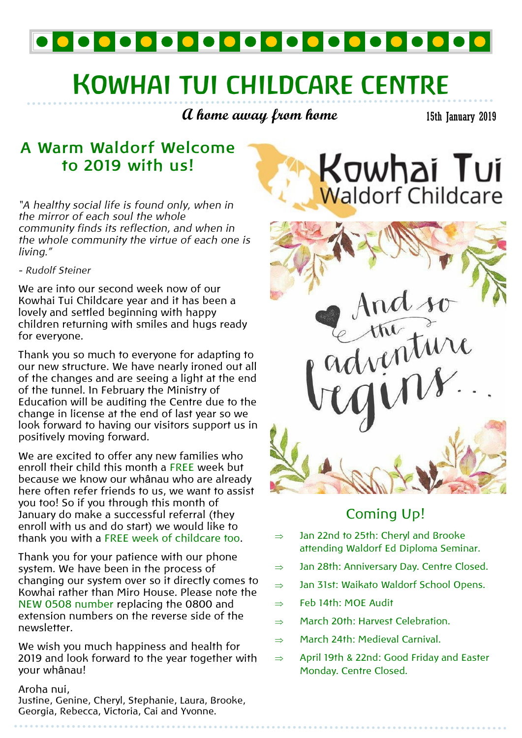

# **KOWHAI TUI CHILDCARE CENTRE**

**A home away from home**

15th January 2019

### **A Warm Waldorf Welcome to 2019 with us!**

*"A healthy social life is found only, when in the mirror of each soul the whole community finds its reflection, and when in the whole community the virtue of each one is living."* 

#### *- Rudolf Steiner*

We are into our second week now of our Kowhai Tui Childcare year and it has been a lovely and settled beginning with happy children returning with smiles and hugs ready for everyone.

Thank you so much to everyone for adapting to our new structure. We have nearly ironed out all of the changes and are seeing a light at the end of the tunnel. In February the Ministry of Education will be auditing the Centre due to the change in license at the end of last year so we look forward to having our visitors support us in positively moving forward.

We are excited to offer any new families who enroll their child this month a FREE week but because we know our whânau who are already here often refer friends to us, we want to assist you too! So if you through this month of January do make a successful referral (they enroll with us and do start) we would like to thank you with a FREE week of childcare too.

Thank you for your patience with our phone system. We have been in the process of changing our system over so it directly comes to Kowhai rather than Miro House. Please note the NEW 0508 number replacing the 0800 and extension numbers on the reverse side of the newsletter.

We wish you much happiness and health for 2019 and look forward to the year together with your whânau!

#### Aroha nui,

Justine, Genine, Cheryl, Stephanie, Laura, Brooke, Georgia, Rebecca, Victoria, Cai and Yvonne.





### Coming Up!

- $\Rightarrow$  Jan 22nd to 25th: Cheryl and Brooke attending Waldorf Ed Diploma Seminar.
- $\Rightarrow$  Jan 28th: Anniversary Day. Centre Closed.
- $\Rightarrow$  Jan 31st: Waikato Waldorf School Opens.
- $\Rightarrow$  Feb 14th: MOE Audit
- $\Rightarrow$  March 20th: Harvest Celebration.
- $\Rightarrow$  March 24th: Medieval Carnival.
- $\Rightarrow$  April 19th & 22nd: Good Friday and Easter Monday. Centre Closed.